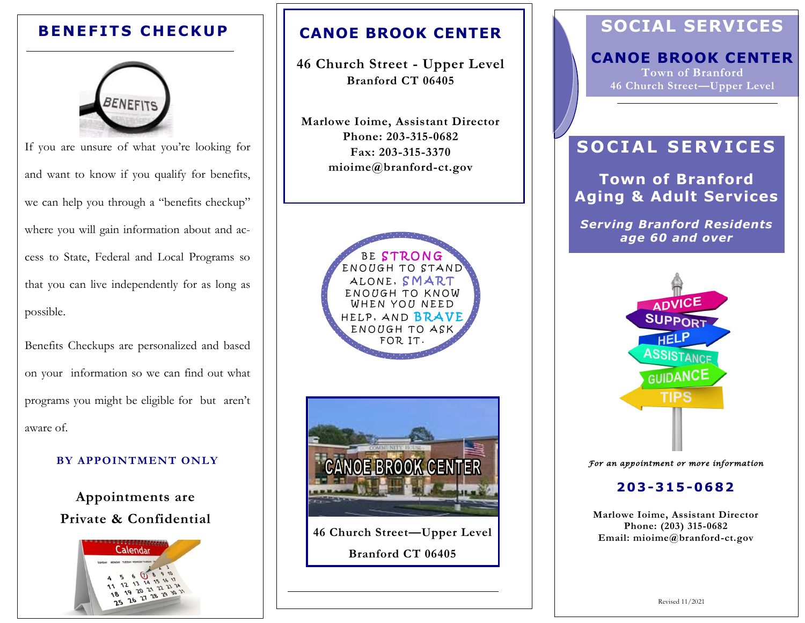# **BENEFITS CHECKUP**



If you are unsure of what you're looking for and want to know if you qualify for benefits, we can help you through a "benefits checkup" where you will gain information about and access to State, Federal and Local Programs so that you can live independently for as long as possible.

Benefits Checkups are personalized and based on your information so we can find out what programs you might be eligible for but aren't aware of.

#### **BY APPOINTMENT ONLY**

**Appointments are Private & Confidential**



## **CANOE BROOK CENTER**

**46 Church Street - Upper Level Branford CT 06405**

**Marlowe Ioime, Assistant Director Phone: 203-315-0682 Fax: 203-315-3370 mioime@branford-ct.gov** 



**46 Church Street—Upper Level Branford CT 06405**

# **SOCIAL SERVICES**

### **CANOE BROOK CENTER Town of Branford**

**46 Church Street—Upper Level** 

# **SOCIAL SERVICES**

**Town of Branford Aging & Adult Services**

*Serving Branford Residents age 60 and over*



*For an appointment or more information* 

#### **203 -315 -0682**

**Marlowe Ioime, Assistant Director Phone: (203) 315-0682 Email: mioime@branford-ct.gov**

Revised 11/2021